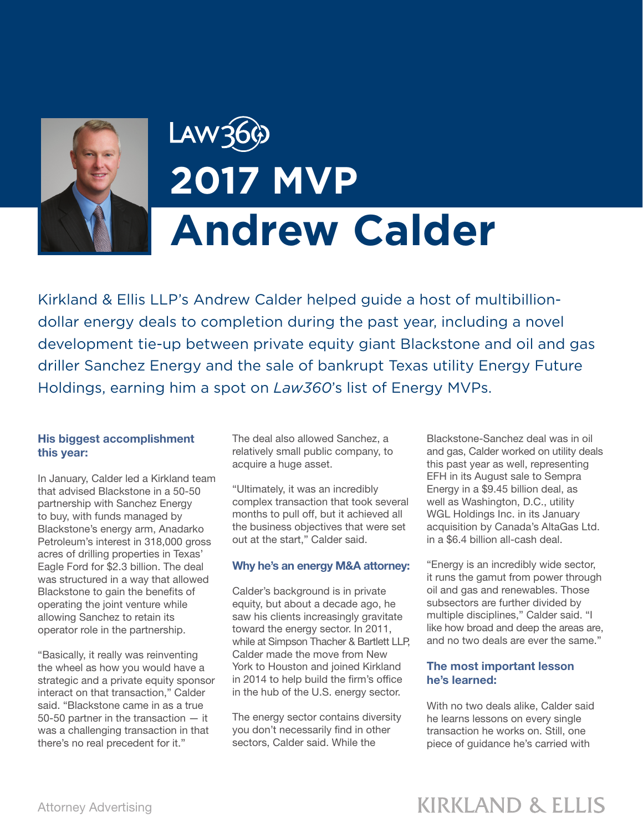

# Law36 **2017 MVP Andrew Calder**

Kirkland & Ellis LLP's Andrew Calder helped guide a host of multibilliondollar energy deals to completion during the past year, including a novel development tie-up between private equity giant Blackstone and oil and gas driller Sanchez Energy and the sale of bankrupt Texas utility Energy Future Holdings, earning him a spot on *Law360*'s list of Energy MVPs.

#### His biggest accomplishment this year:

In January, Calder led a Kirkland team that advised Blackstone in a 50-50 partnership with Sanchez Energy to buy, with funds managed by Blackstone's energy arm, Anadarko Petroleum's interest in 318,000 gross acres of drilling properties in Texas' Eagle Ford for \$2.3 billion. The deal was structured in a way that allowed Blackstone to gain the benefits of operating the joint venture while allowing Sanchez to retain its operator role in the partnership.

"Basically, it really was reinventing the wheel as how you would have a strategic and a private equity sponsor interact on that transaction," Calder said. "Blackstone came in as a true 50-50 partner in the transaction — it was a challenging transaction in that there's no real precedent for it."

The deal also allowed Sanchez, a relatively small public company, to acquire a huge asset.

"Ultimately, it was an incredibly complex transaction that took several months to pull off, but it achieved all the business objectives that were set out at the start," Calder said.

#### Why he's an energy M&A attorney:

Calder's background is in private equity, but about a decade ago, he saw his clients increasingly gravitate toward the energy sector. In 2011, while at Simpson Thacher & Bartlett LLP, Calder made the move from New York to Houston and joined Kirkland in 2014 to help build the firm's office in the hub of the U.S. energy sector.

The energy sector contains diversity you don't necessarily find in other sectors, Calder said. While the

Blackstone-Sanchez deal was in oil and gas, Calder worked on utility deals this past year as well, representing EFH in its August sale to Sempra Energy in a \$9.45 billion deal, as well as Washington, D.C., utility WGL Holdings Inc. in its January acquisition by Canada's AltaGas Ltd. in a \$6.4 billion all-cash deal.

"Energy is an incredibly wide sector, it runs the gamut from power through oil and gas and renewables. Those subsectors are further divided by multiple disciplines," Calder said. "I like how broad and deep the areas are, and no two deals are ever the same."

### The most important lesson he's learned:

With no two deals alike, Calder said he learns lessons on every single transaction he works on. Still, one piece of guidance he's carried with